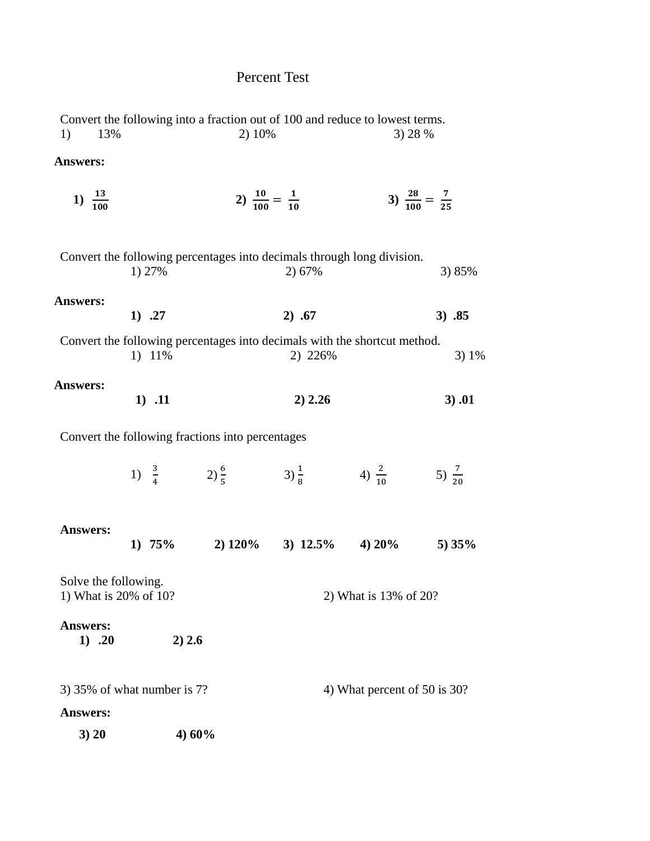## Percent Test

| 1)<br>13%                                     |          | Convert the following into a fraction out of 100 and reduce to lowest terms.<br>2) 10% |                              | 3) 28 %               |                                    |  |
|-----------------------------------------------|----------|----------------------------------------------------------------------------------------|------------------------------|-----------------------|------------------------------------|--|
| Answers:                                      |          |                                                                                        |                              |                       |                                    |  |
| 1) $\frac{13}{100}$                           |          | 2) $\frac{10}{100} = \frac{1}{10}$                                                     |                              |                       | 3) $\frac{28}{100} = \frac{7}{25}$ |  |
|                                               | 1) 27%   | Convert the following percentages into decimals through long division.                 | 2) 67%                       |                       | 3) 85%                             |  |
| Answers:                                      | 1) 27    |                                                                                        | 2) .67                       |                       | 3) .85                             |  |
|                                               | 1) 11%   | Convert the following percentages into decimals with the shortcut method.              | 2) 226%                      |                       | 3) 1%                              |  |
| Answers:                                      | $1)$ .11 |                                                                                        | 2) 2.26                      |                       | 3) .01                             |  |
|                                               |          | Convert the following fractions into percentages                                       |                              |                       |                                    |  |
|                                               |          | 1) $\frac{3}{4}$ 2) $\frac{6}{5}$ 3) $\frac{1}{8}$ 4) $\frac{2}{10}$ 5) $\frac{7}{20}$ |                              |                       |                                    |  |
| <b>Answers:</b>                               | 1) $75%$ | 2) $120\%$ 3) $12.5\%$ 4) $20\%$ 5) $35\%$                                             |                              |                       |                                    |  |
| Solve the following.<br>1) What is 20% of 10? |          |                                                                                        |                              | 2) What is 13% of 20? |                                    |  |
| <b>Answers:</b><br>1) 20                      | 2) 2.6   |                                                                                        |                              |                       |                                    |  |
| 3) 35% of what number is $7$ ?                |          |                                                                                        | 4) What percent of 50 is 30? |                       |                                    |  |
| <b>Answers:</b>                               |          |                                                                                        |                              |                       |                                    |  |
| 3) 20                                         |          | 4) 60%                                                                                 |                              |                       |                                    |  |